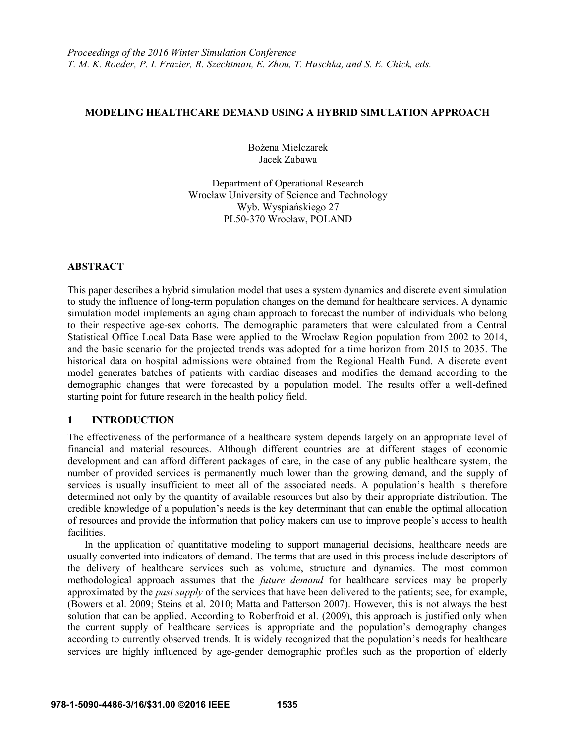## **MODELING HEALTHCARE DEMAND USING A HYBRID SIMULATION APPROACH**

Bożena Mielczarek Jacek Zabawa

Department of Operational Research Wrocław University of Science and Technology Wyb. Wyspiańskiego 27 PL50-370 Wrocław, POLAND

# **ABSTRACT**

This paper describes a hybrid simulation model that uses a system dynamics and discrete event simulation to study the influence of long-term population changes on the demand for healthcare services. A dynamic simulation model implements an aging chain approach to forecast the number of individuals who belong to their respective age-sex cohorts. The demographic parameters that were calculated from a Central Statistical Office Local Data Base were applied to the Wrocław Region population from 2002 to 2014, and the basic scenario for the projected trends was adopted for a time horizon from 2015 to 2035. The historical data on hospital admissions were obtained from the Regional Health Fund. A discrete event model generates batches of patients with cardiac diseases and modifies the demand according to the demographic changes that were forecasted by a population model. The results offer a well-defined starting point for future research in the health policy field.

# **1 INTRODUCTION**

The effectiveness of the performance of a healthcare system depends largely on an appropriate level of financial and material resources. Although different countries are at different stages of economic development and can afford different packages of care, in the case of any public healthcare system, the number of provided services is permanently much lower than the growing demand, and the supply of services is usually insufficient to meet all of the associated needs. A population's health is therefore determined not only by the quantity of available resources but also by their appropriate distribution. The credible knowledge of a population's needs is the key determinant that can enable the optimal allocation of resources and provide the information that policy makers can use to improve people's access to health facilities.

In the application of quantitative modeling to support managerial decisions, healthcare needs are usually converted into indicators of demand. The terms that are used in this process include descriptors of the delivery of healthcare services such as volume, structure and dynamics. The most common methodological approach assumes that the *future demand* for healthcare services may be properly approximated by the *past supply* of the services that have been delivered to the patients; see, for example, (Bowers et al. 2009; Steins et al. 2010; Matta and Patterson 2007). However, this is not always the best solution that can be applied. According to Roberfroid et al. (2009), this approach is justified only when the current supply of healthcare services is appropriate and the population's demography changes according to currently observed trends. It is widely recognized that the population's needs for healthcare services are highly influenced by age-gender demographic profiles such as the proportion of elderly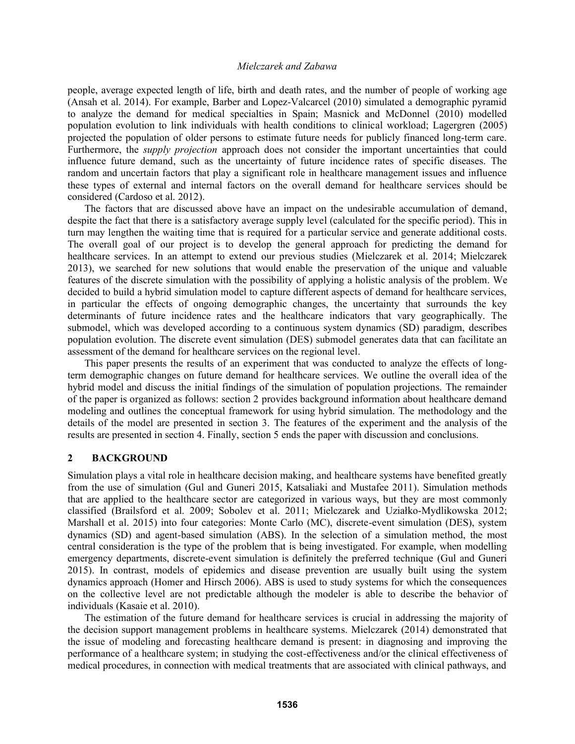people, average expected length of life, birth and death rates, and the number of people of working age (Ansah et al. 2014). For example, Barber and Lopez-Valcarcel (2010) simulated a demographic pyramid to analyze the demand for medical specialties in Spain; Masnick and McDonnel (2010) modelled population evolution to link individuals with health conditions to clinical workload; Lagergren (2005) projected the population of older persons to estimate future needs for publicly financed long-term care. Furthermore, the *supply projection* approach does not consider the important uncertainties that could influence future demand, such as the uncertainty of future incidence rates of specific diseases. The random and uncertain factors that play a significant role in healthcare management issues and influence these types of external and internal factors on the overall demand for healthcare services should be considered (Cardoso et al. 2012).

The factors that are discussed above have an impact on the undesirable accumulation of demand, despite the fact that there is a satisfactory average supply level (calculated for the specific period). This in turn may lengthen the waiting time that is required for a particular service and generate additional costs. The overall goal of our project is to develop the general approach for predicting the demand for healthcare services. In an attempt to extend our previous studies (Mielczarek et al. 2014; Mielczarek 2013), we searched for new solutions that would enable the preservation of the unique and valuable features of the discrete simulation with the possibility of applying a holistic analysis of the problem. We decided to build a hybrid simulation model to capture different aspects of demand for healthcare services, in particular the effects of ongoing demographic changes, the uncertainty that surrounds the key determinants of future incidence rates and the healthcare indicators that vary geographically. The submodel, which was developed according to a continuous system dynamics (SD) paradigm, describes population evolution. The discrete event simulation (DES) submodel generates data that can facilitate an assessment of the demand for healthcare services on the regional level.

This paper presents the results of an experiment that was conducted to analyze the effects of longterm demographic changes on future demand for healthcare services. We outline the overall idea of the hybrid model and discuss the initial findings of the simulation of population projections. The remainder of the paper is organized as follows: section 2 provides background information about healthcare demand modeling and outlines the conceptual framework for using hybrid simulation. The methodology and the details of the model are presented in section 3. The features of the experiment and the analysis of the results are presented in section 4. Finally, section 5 ends the paper with discussion and conclusions.

### **2 BACKGROUND**

Simulation plays a vital role in healthcare decision making, and healthcare systems have benefited greatly from the use of simulation (Gul and Guneri 2015, Katsaliaki and Mustafee 2011). Simulation methods that are applied to the healthcare sector are categorized in various ways, but they are most commonly classified (Brailsford et al. 2009; Sobolev et al. 2011; Mielczarek and Uziałko-Mydlikowska 2012; Marshall et al. 2015) into four categories: Monte Carlo (MC), discrete-event simulation (DES), system dynamics (SD) and agent-based simulation (ABS). In the selection of a simulation method, the most central consideration is the type of the problem that is being investigated. For example, when modelling emergency departments, discrete-event simulation is definitely the preferred technique (Gul and Guneri 2015). In contrast, models of epidemics and disease prevention are usually built using the system dynamics approach (Homer and Hirsch 2006). ABS is used to study systems for which the consequences on the collective level are not predictable although the modeler is able to describe the behavior of individuals (Kasaie et al. 2010).

The estimation of the future demand for healthcare services is crucial in addressing the majority of the decision support management problems in healthcare systems. Mielczarek (2014) demonstrated that the issue of modeling and forecasting healthcare demand is present: in diagnosing and improving the performance of a healthcare system; in studying the cost-effectiveness and/or the clinical effectiveness of medical procedures, in connection with medical treatments that are associated with clinical pathways, and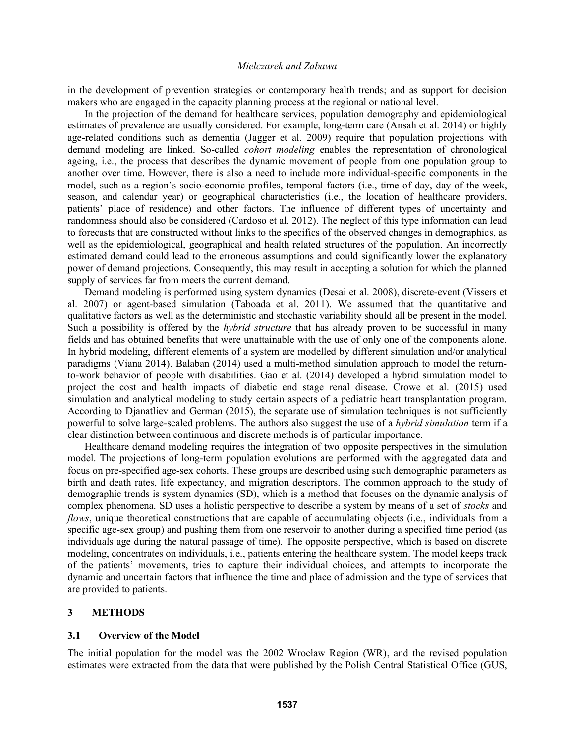in the development of prevention strategies or contemporary health trends; and as support for decision makers who are engaged in the capacity planning process at the regional or national level.

In the projection of the demand for healthcare services, population demography and epidemiological estimates of prevalence are usually considered. For example, long-term care (Ansah et al. 2014) or highly age-related conditions such as dementia (Jagger et al. 2009) require that population projections with demand modeling are linked. So-called *cohort modeling* enables the representation of chronological ageing, i.e., the process that describes the dynamic movement of people from one population group to another over time. However, there is also a need to include more individual-specific components in the model, such as a region's socio-economic profiles, temporal factors (i.e., time of day, day of the week, season, and calendar year) or geographical characteristics (i.e., the location of healthcare providers, patients' place of residence) and other factors. The influence of different types of uncertainty and randomness should also be considered (Cardoso et al. 2012). The neglect of this type information can lead to forecasts that are constructed without links to the specifics of the observed changes in demographics, as well as the epidemiological, geographical and health related structures of the population. An incorrectly estimated demand could lead to the erroneous assumptions and could significantly lower the explanatory power of demand projections. Consequently, this may result in accepting a solution for which the planned supply of services far from meets the current demand.

Demand modeling is performed using system dynamics (Desai et al. 2008), discrete-event (Vissers et al. 2007) or agent-based simulation (Taboada et al. 2011). We assumed that the quantitative and qualitative factors as well as the deterministic and stochastic variability should all be present in the model. Such a possibility is offered by the *hybrid structure* that has already proven to be successful in many fields and has obtained benefits that were unattainable with the use of only one of the components alone. In hybrid modeling, different elements of a system are modelled by different simulation and/or analytical paradigms (Viana 2014). Balaban (2014) used a multi-method simulation approach to model the returnto-work behavior of people with disabilities. Gao et al. (2014) developed a hybrid simulation model to project the cost and health impacts of diabetic end stage renal disease. Crowe et al. (2015) used simulation and analytical modeling to study certain aspects of a pediatric heart transplantation program. According to Djanatliev and German (2015), the separate use of simulation techniques is not sufficiently powerful to solve large-scaled problems. The authors also suggest the use of a *hybrid simulation* term if a clear distinction between continuous and discrete methods is of particular importance.

Healthcare demand modeling requires the integration of two opposite perspectives in the simulation model. The projections of long-term population evolutions are performed with the aggregated data and focus on pre-specified age-sex cohorts. These groups are described using such demographic parameters as birth and death rates, life expectancy, and migration descriptors. The common approach to the study of demographic trends is system dynamics (SD), which is a method that focuses on the dynamic analysis of complex phenomena. SD uses a holistic perspective to describe a system by means of a set of *stocks* and *flows*, unique theoretical constructions that are capable of accumulating objects (i.e., individuals from a specific age-sex group) and pushing them from one reservoir to another during a specified time period (as individuals age during the natural passage of time). The opposite perspective, which is based on discrete modeling, concentrates on individuals, i.e., patients entering the healthcare system. The model keeps track of the patients' movements, tries to capture their individual choices, and attempts to incorporate the dynamic and uncertain factors that influence the time and place of admission and the type of services that are provided to patients.

## **3 METHODS**

#### **3.1 Overview of the Model**

The initial population for the model was the 2002 Wrocław Region (WR), and the revised population estimates were extracted from the data that were published by the Polish Central Statistical Office (GUS,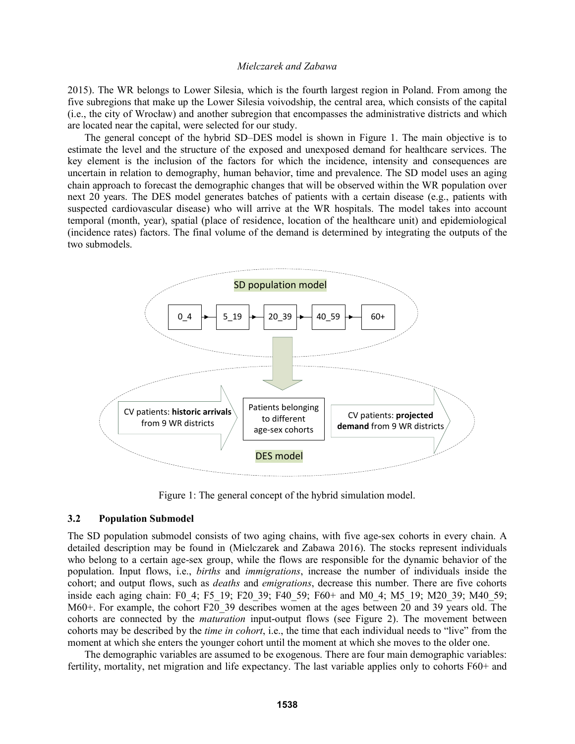2015). The WR belongs to Lower Silesia, which is the fourth largest region in Poland. From among the five subregions that make up the Lower Silesia voivodship, the central area, which consists of the capital (i.e., the city of Wrocław) and another subregion that encompasses the administrative districts and which are located near the capital, were selected for our study.

The general concept of the hybrid SD–DES model is shown in Figure 1. The main objective is to estimate the level and the structure of the exposed and unexposed demand for healthcare services. The key element is the inclusion of the factors for which the incidence, intensity and consequences are uncertain in relation to demography, human behavior, time and prevalence. The SD model uses an aging chain approach to forecast the demographic changes that will be observed within the WR population over next 20 years. The DES model generates batches of patients with a certain disease (e.g., patients with suspected cardiovascular disease) who will arrive at the WR hospitals. The model takes into account temporal (month, year), spatial (place of residence, location of the healthcare unit) and epidemiological (incidence rates) factors. The final volume of the demand is determined by integrating the outputs of the two submodels.



Figure 1: The general concept of the hybrid simulation model.

#### **3.2 Population Submodel**

The SD population submodel consists of two aging chains, with five age-sex cohorts in every chain. A detailed description may be found in (Mielczarek and Zabawa 2016). The stocks represent individuals who belong to a certain age-sex group, while the flows are responsible for the dynamic behavior of the population. Input flows, i.e., *births* and *immigrations*, increase the number of individuals inside the cohort; and output flows, such as *deaths* and *emigrations*, decrease this number. There are five cohorts inside each aging chain: F0\_4; F5\_19; F20\_39; F40\_59; F60+ and M0\_4; M5\_19; M20\_39; M40\_59; M60+. For example, the cohort F20 39 describes women at the ages between  $2\overline{0}$  and 39 years old. The cohorts are connected by the *maturation* input-output flows (see Figure 2). The movement between cohorts may be described by the *time in cohort*, i.e., the time that each individual needs to "live" from the moment at which she enters the younger cohort until the moment at which she moves to the older one.

The demographic variables are assumed to be exogenous. There are four main demographic variables: fertility, mortality, net migration and life expectancy. The last variable applies only to cohorts F60+ and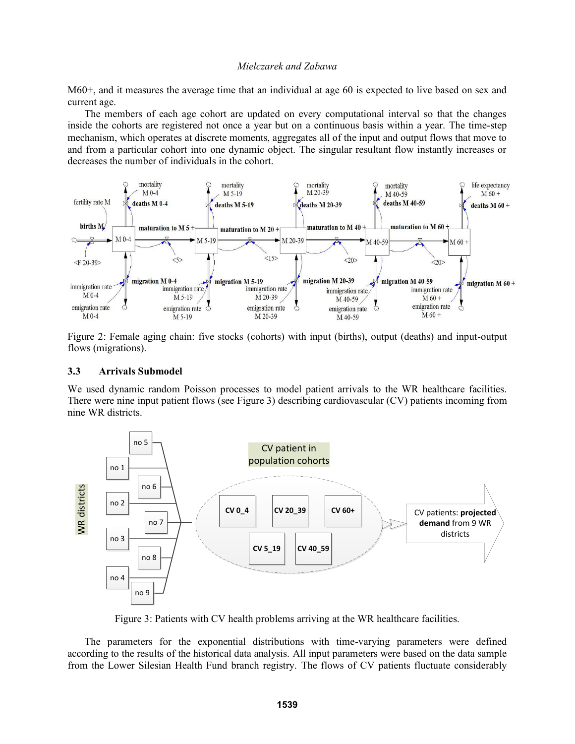M60+, and it measures the average time that an individual at age 60 is expected to live based on sex and current age.

The members of each age cohort are updated on every computational interval so that the changes inside the cohorts are registered not once a year but on a continuous basis within a year. The time-step mechanism, which operates at discrete moments, aggregates all of the input and output flows that move to and from a particular cohort into one dynamic object. The singular resultant flow instantly increases or decreases the number of individuals in the cohort.



Figure 2: Female aging chain: five stocks (cohorts) with input (births), output (deaths) and input-output flows (migrations).

### **3.3 Arrivals Submodel**

We used dynamic random Poisson processes to model patient arrivals to the WR healthcare facilities. There were nine input patient flows (see Figure 3) describing cardiovascular (CV) patients incoming from nine WR districts.



Figure 3: Patients with CV health problems arriving at the WR healthcare facilities.

The parameters for the exponential distributions with time-varying parameters were defined according to the results of the historical data analysis. All input parameters were based on the data sample from the Lower Silesian Health Fund branch registry. The flows of CV patients fluctuate considerably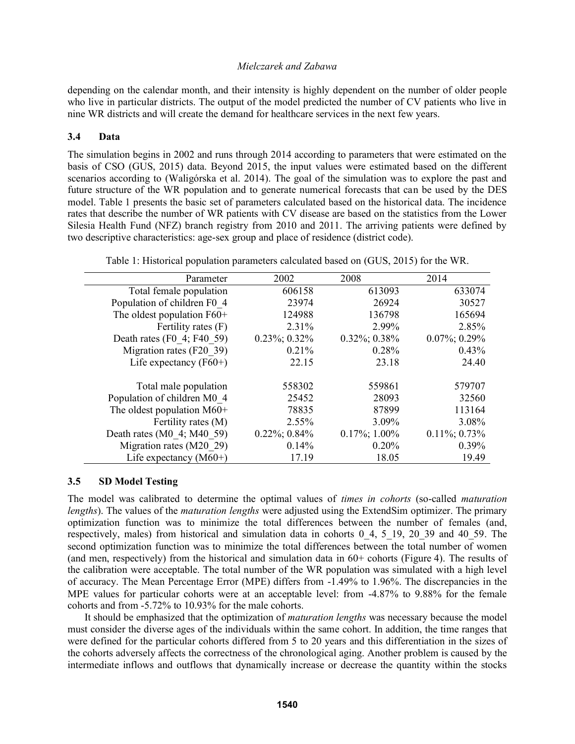depending on the calendar month, and their intensity is highly dependent on the number of older people who live in particular districts. The output of the model predicted the number of CV patients who live in nine WR districts and will create the demand for healthcare services in the next few years.

### **3.4 Data**

The simulation begins in 2002 and runs through 2014 according to parameters that were estimated on the basis of CSO (GUS, 2015) data. Beyond 2015, the input values were estimated based on the different scenarios according to (Waligórska et al. 2014). The goal of the simulation was to explore the past and future structure of the WR population and to generate numerical forecasts that can be used by the DES model. Table 1 presents the basic set of parameters calculated based on the historical data. The incidence rates that describe the number of WR patients with CV disease are based on the statistics from the Lower Silesia Health Fund (NFZ) branch registry from 2010 and 2011. The arriving patients were defined by two descriptive characteristics: age-sex group and place of residence (district code).

| Parameter                    | 2002             | 2008             | 2014             |
|------------------------------|------------------|------------------|------------------|
| Total female population      | 606158           | 613093           | 633074           |
| Population of children F0 4  | 23974            | 26924            | 30527            |
| The oldest population F60+   | 124988           | 136798           | 165694           |
| Fertility rates $(F)$        | 2.31%            | 2.99%            | 2.85%            |
| Death rates $(F0 4; F40 59)$ | $0.23\%$ ; 0.32% | $0.32\%; 0.38\%$ | $0.07\%$ ; 0.29% |
| Migration rates (F20 39)     | 0.21%            | 0.28%            | $0.43\%$         |
| Life expectancy $(F60+)$     | 22.15            | 23.18            | 24.40            |
| Total male population        | 558302           | 559861           | 579707           |
| Population of children M0 4  | 25452            | 28093            | 32560            |
| The oldest population $M60+$ | 78835            | 87899            | 113164           |
| Fertility rates (M)          | 2.55%            | 3.09%            | 3.08%            |
| Death rates (M0 4; M40 59)   | $0.22\%$ ; 0.84% | $0.17\%; 1.00\%$ | $0.11\%$ ; 0.73% |
| Migration rates (M20 29)     | 0.14%            | 0.20%            | $0.39\%$         |
| Life expectancy $(M60+)$     | 17.19            | 18.05            | 19.49            |

Table 1: Historical population parameters calculated based on (GUS, 2015) for the WR.

#### **3.5 SD Model Testing**

The model was calibrated to determine the optimal values of *times in cohorts* (so-called *maturation lengths*). The values of the *maturation lengths* were adjusted using the ExtendSim optimizer. The primary optimization function was to minimize the total differences between the number of females (and, respectively, males) from historical and simulation data in cohorts 0\_4, 5\_19, 20\_39 and 40\_59. The second optimization function was to minimize the total differences between the total number of women (and men, respectively) from the historical and simulation data in 60+ cohorts (Figure 4). The results of the calibration were acceptable. The total number of the WR population was simulated with a high level of accuracy. The Mean Percentage Error (MPE) differs from -1.49% to 1.96%. The discrepancies in the MPE values for particular cohorts were at an acceptable level: from -4.87% to 9.88% for the female cohorts and from -5.72% to 10.93% for the male cohorts.

It should be emphasized that the optimization of *maturation lengths* was necessary because the model must consider the diverse ages of the individuals within the same cohort. In addition, the time ranges that were defined for the particular cohorts differed from 5 to 20 years and this differentiation in the sizes of the cohorts adversely affects the correctness of the chronological aging. Another problem is caused by the intermediate inflows and outflows that dynamically increase or decrease the quantity within the stocks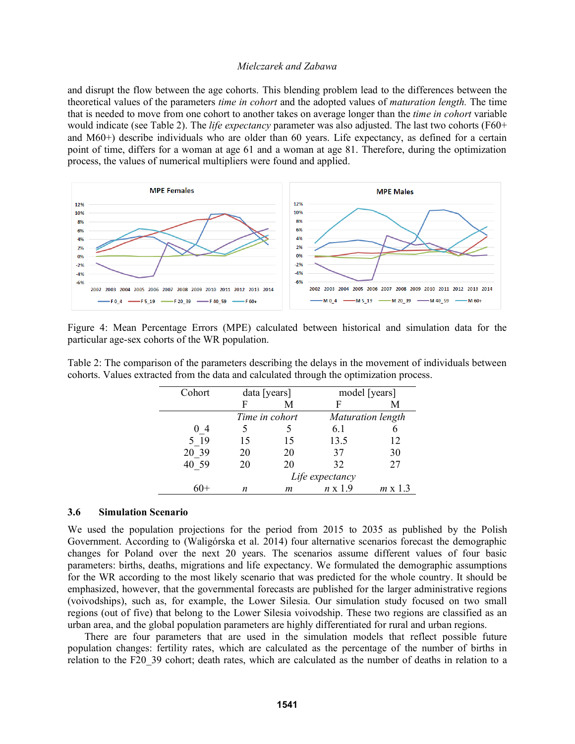and disrupt the flow between the age cohorts. This blending problem lead to the differences between the theoretical values of the parameters *time in cohort* and the adopted values of *maturation length.* The time that is needed to move from one cohort to another takes on average longer than the *time in cohort* variable would indicate (see Table 2). The *life expectancy* parameter was also adjusted. The last two cohorts (F60+ and M60+) describe individuals who are older than 60 years. Life expectancy, as defined for a certain point of time, differs for a woman at age 61 and a woman at age 81. Therefore, during the optimization process, the values of numerical multipliers were found and applied.



Figure 4: Mean Percentage Errors (MPE) calculated between historical and simulation data for the particular age-sex cohorts of the WR population.

| Cohort | data [years]    |                  |                | model [years]     |  |
|--------|-----------------|------------------|----------------|-------------------|--|
|        | F               | M                | н              | M                 |  |
|        | Time in cohort  |                  |                | Maturation length |  |
| 04     |                 |                  | 6.1            |                   |  |
| 5 19   | 15              | 15               | 13.5           | 12                |  |
| 20 39  | 20              | 20               | 37             | 30                |  |
| 40 59  | 20              | 20               | 32             | 27                |  |
|        | Life expectancy |                  |                |                   |  |
|        | n               | $\boldsymbol{m}$ | $n \times 1.9$ | $m \times 1.3$    |  |

Table 2: The comparison of the parameters describing the delays in the movement of individuals between cohorts. Values extracted from the data and calculated through the optimization process.

## **3.6 Simulation Scenario**

We used the population projections for the period from 2015 to 2035 as published by the Polish Government. According to (Waligórska et al. 2014) four alternative scenarios forecast the demographic changes for Poland over the next 20 years. The scenarios assume different values of four basic parameters: births, deaths, migrations and life expectancy. We formulated the demographic assumptions for the WR according to the most likely scenario that was predicted for the whole country. It should be emphasized, however, that the governmental forecasts are published for the larger administrative regions (voivodships), such as, for example, the Lower Silesia. Our simulation study focused on two small regions (out of five) that belong to the Lower Silesia voivodship. These two regions are classified as an urban area, and the global population parameters are highly differentiated for rural and urban regions.

There are four parameters that are used in the simulation models that reflect possible future population changes: fertility rates, which are calculated as the percentage of the number of births in relation to the F20 39 cohort; death rates, which are calculated as the number of deaths in relation to a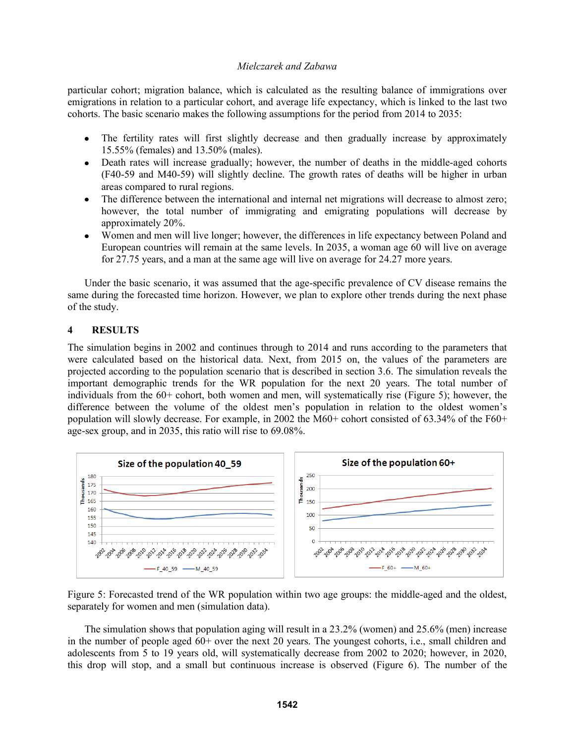particular cohort; migration balance, which is calculated as the resulting balance of immigrations over emigrations in relation to a particular cohort, and average life expectancy, which is linked to the last two cohorts. The basic scenario makes the following assumptions for the period from 2014 to 2035:

- The fertility rates will first slightly decrease and then gradually increase by approximately  $\bullet$ 15.55% (females) and 13.50% (males).
- Death rates will increase gradually; however, the number of deaths in the middle-aged cohorts (F40-59 and M40-59) will slightly decline. The growth rates of deaths will be higher in urban areas compared to rural regions.
- The difference between the international and internal net migrations will decrease to almost zero;  $\bullet$ however, the total number of immigrating and emigrating populations will decrease by approximately 20%.
- Women and men will live longer; however, the differences in life expectancy between Poland and  $\bullet$ European countries will remain at the same levels. In 2035, a woman age 60 will live on average for 27.75 years, and a man at the same age will live on average for 24.27 more years.

Under the basic scenario, it was assumed that the age-specific prevalence of CV disease remains the same during the forecasted time horizon. However, we plan to explore other trends during the next phase of the study.

## **4 RESULTS**

The simulation begins in 2002 and continues through to 2014 and runs according to the parameters that were calculated based on the historical data. Next, from 2015 on, the values of the parameters are projected according to the population scenario that is described in section 3.6. The simulation reveals the important demographic trends for the WR population for the next 20 years. The total number of individuals from the 60+ cohort, both women and men, will systematically rise (Figure 5); however, the difference between the volume of the oldest men's population in relation to the oldest women's population will slowly decrease. For example, in 2002 the M60+ cohort consisted of 63.34% of the F60+ age-sex group, and in 2035, this ratio will rise to 69.08%.



Figure 5: Forecasted trend of the WR population within two age groups: the middle-aged and the oldest, separately for women and men (simulation data).

The simulation shows that population aging will result in a 23.2% (women) and 25.6% (men) increase in the number of people aged 60+ over the next 20 years. The youngest cohorts, i.e., small children and adolescents from 5 to 19 years old, will systematically decrease from 2002 to 2020; however, in 2020, this drop will stop, and a small but continuous increase is observed (Figure 6). The number of the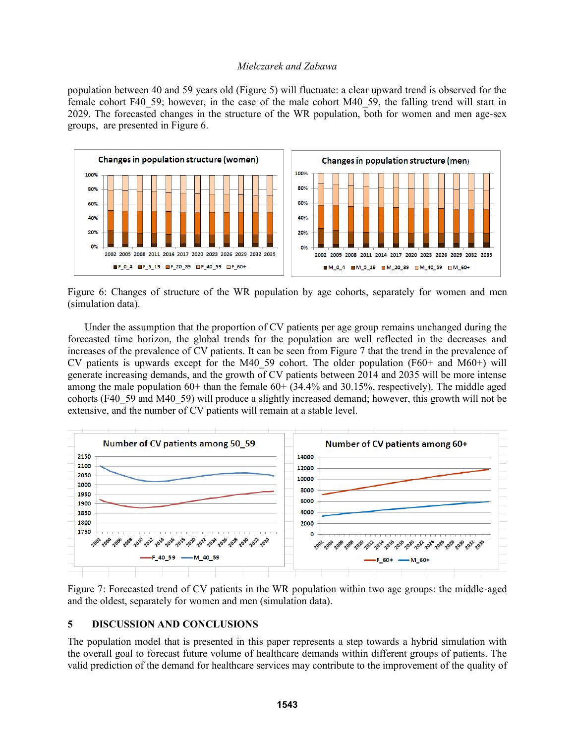population between 40 and 59 years old (Figure 5) will fluctuate: a clear upward trend is observed for the female cohort F40\_59; however, in the case of the male cohort M40\_59, the falling trend will start in 2029. The forecasted changes in the structure of the WR population, both for women and men age-sex groups, are presented in Figure 6.



Figure 6: Changes of structure of the WR population by age cohorts, separately for women and men (simulation data).

Under the assumption that the proportion of CV patients per age group remains unchanged during the forecasted time horizon, the global trends for the population are well reflected in the decreases and increases of the prevalence of CV patients. It can be seen from Figure 7 that the trend in the prevalence of CV patients is upwards except for the M40\_59 cohort. The older population (F60+ and M60+) will generate increasing demands, and the growth of CV patients between 2014 and 2035 will be more intense among the male population  $60+$  than the female  $60+$  (34.4% and 30.15%, respectively). The middle aged cohorts (F40\_59 and M40\_59) will produce a slightly increased demand; however, this growth will not be extensive, and the number of CV patients will remain at a stable level.



Figure 7: Forecasted trend of CV patients in the WR population within two age groups: the middle-aged and the oldest, separately for women and men (simulation data).

# **5 DISCUSSION AND CONCLUSIONS**

The population model that is presented in this paper represents a step towards a hybrid simulation with the overall goal to forecast future volume of healthcare demands within different groups of patients. The valid prediction of the demand for healthcare services may contribute to the improvement of the quality of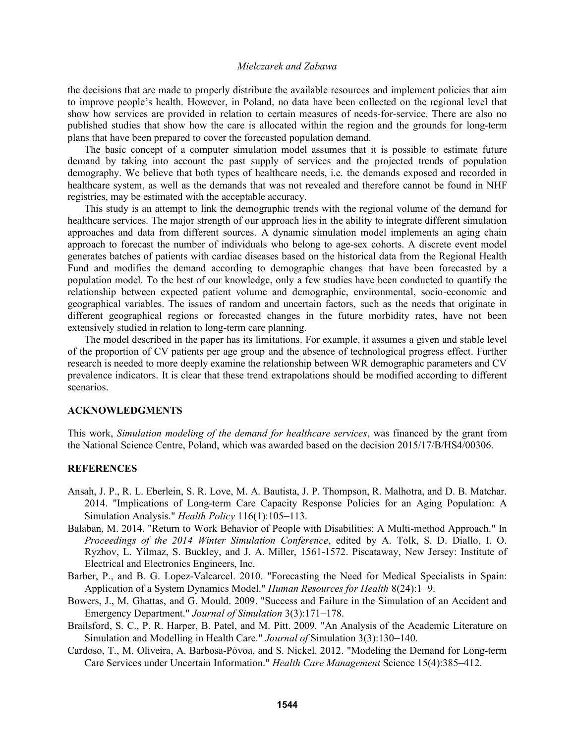the decisions that are made to properly distribute the available resources and implement policies that aim to improve people's health. However, in Poland, no data have been collected on the regional level that show how services are provided in relation to certain measures of needs-for-service. There are also no published studies that show how the care is allocated within the region and the grounds for long-term plans that have been prepared to cover the forecasted population demand.

The basic concept of a computer simulation model assumes that it is possible to estimate future demand by taking into account the past supply of services and the projected trends of population demography. We believe that both types of healthcare needs, i.e. the demands exposed and recorded in healthcare system, as well as the demands that was not revealed and therefore cannot be found in NHF registries, may be estimated with the acceptable accuracy.

This study is an attempt to link the demographic trends with the regional volume of the demand for healthcare services. The major strength of our approach lies in the ability to integrate different simulation approaches and data from different sources. A dynamic simulation model implements an aging chain approach to forecast the number of individuals who belong to age-sex cohorts. A discrete event model generates batches of patients with cardiac diseases based on the historical data from the Regional Health Fund and modifies the demand according to demographic changes that have been forecasted by a population model. To the best of our knowledge, only a few studies have been conducted to quantify the relationship between expected patient volume and demographic, environmental, socio-economic and geographical variables. The issues of random and uncertain factors, such as the needs that originate in different geographical regions or forecasted changes in the future morbidity rates, have not been extensively studied in relation to long-term care planning.

The model described in the paper has its limitations. For example, it assumes a given and stable level of the proportion of CV patients per age group and the absence of technological progress effect. Further research is needed to more deeply examine the relationship between WR demographic parameters and CV prevalence indicators. It is clear that these trend extrapolations should be modified according to different scenarios.

## **ACKNOWLEDGMENTS**

This work, *Simulation modeling of the demand for healthcare services*, was financed by the grant from the National Science Centre, Poland, which was awarded based on the decision 2015/17/B/HS4/00306.

#### **REFERENCES**

- Ansah, J. P., R. L. Eberlein, S. R. Love, M. A. Bautista, J. P. Thompson, R. Malhotra, and D. B. Matchar. 2014. "Implications of Long-term Care Capacity Response Policies for an Aging Population: A Simulation Analysis." *Health Policy* 116(1):105–113.
- Balaban, M. 2014. "Return to Work Behavior of People with Disabilities: A Multi-method Approach." In *Proceedings of the 2014 Winter Simulation Conference*, edited by A. Tolk, S. D. Diallo, I. O. Ryzhov, L. Yilmaz, S. Buckley, and J. A. Miller, 1561-1572. Piscataway, New Jersey: Institute of Electrical and Electronics Engineers, Inc.
- Barber, P., and B. G. Lopez-Valcarcel. 2010. "Forecasting the Need for Medical Specialists in Spain: Application of a System Dynamics Model." *Human Resources for Health* 8(24):1–9.
- Bowers, J., M. Ghattas, and G. Mould. 2009. "Success and Failure in the Simulation of an Accident and Emergency Department." *Journal of Simulation* 3(3):171–178.
- Brailsford, S. C., P. R. Harper, B. Patel, and M. Pitt. 2009. "An Analysis of the Academic Literature on Simulation and Modelling in Health Care." *Journal of* Simulation 3(3):130–140.
- Cardoso, T., M. Oliveira, A. Barbosa-Póvoa, and S. Nickel. 2012. "Modeling the Demand for Long-term Care Services under Uncertain Information." *Health Care Management* Science 15(4):385–412.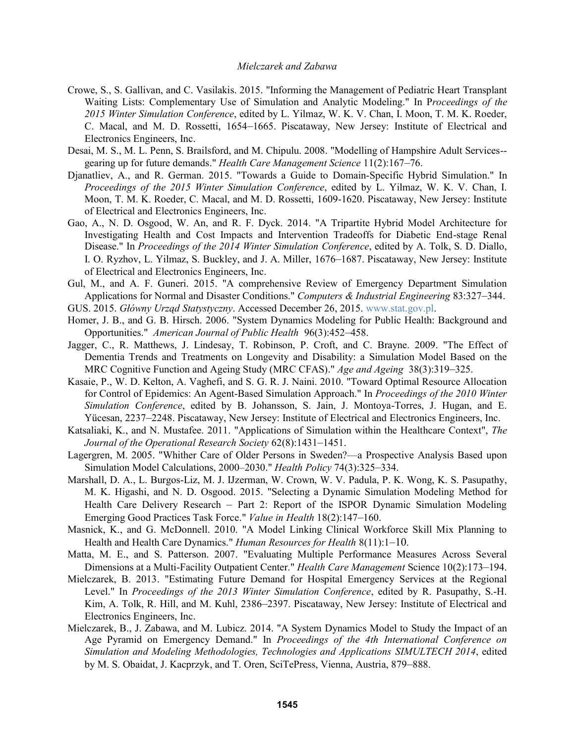- Crowe, S., S. Gallivan, and C. Vasilakis. 2015. "Informing the Management of Pediatric Heart Transplant Waiting Lists: Complementary Use of Simulation and Analytic Modeling." In P*roceedings of the 2015 Winter Simulation Conference*, edited by L. Yilmaz, W. K. V. Chan, I. Moon, T. M. K. Roeder, C. Macal, and M. D. Rossetti, 1654–1665. Piscataway, New Jersey: Institute of Electrical and Electronics Engineers, Inc.
- Desai, M. S., M. L. Penn, S. Brailsford, and M. Chipulu. 2008. "Modelling of Hampshire Adult Services- gearing up for future demands." *Health Care Management Science* 11(2):167–76.
- Djanatliev, A., and R. German. 2015. "Towards a Guide to Domain-Specific Hybrid Simulation." In *Proceedings of the 2015 Winter Simulation Conference*, edited by L. Yilmaz, W. K. V. Chan, I. Moon, T. M. K. Roeder, C. Macal, and M. D. Rossetti, 1609-1620. Piscataway, New Jersey: Institute of Electrical and Electronics Engineers, Inc.
- Gao, A., N. D. Osgood, W. An, and R. F. Dyck. 2014. "A Tripartite Hybrid Model Architecture for Investigating Health and Cost Impacts and Intervention Tradeoffs for Diabetic End-stage Renal Disease." In *Proceedings of the 2014 Winter Simulation Conference*, edited by A. Tolk, S. D. Diallo, I. O. Ryzhov, L. Yilmaz, S. Buckley, and J. A. Miller, 1676–1687. Piscataway, New Jersey: Institute of Electrical and Electronics Engineers, Inc.
- Gul, M., and A. F. Guneri. 2015. "A comprehensive Review of Emergency Department Simulation Applications for Normal and Disaster Conditions." *Computers & Industrial Engineering* 83:327–344.
- GUS. 2015. *Główny Urząd Statystyczny*. Accessed December 26, 2015. www.stat.gov.pl.
- Homer, J. B., and G. B. Hirsch. 2006. "System Dynamics Modeling for Public Health: Background and Opportunities." *American Journal of Public Health* 96(3):452–458.
- Jagger, C., R. Matthews, J. Lindesay, T. Robinson, P. Croft, and C. Brayne. 2009. "The Effect of Dementia Trends and Treatments on Longevity and Disability: a Simulation Model Based on the MRC Cognitive Function and Ageing Study (MRC CFAS)." *Age and Ageing* 38(3):319–325.
- Kasaie, P., W. D. Kelton, A. Vaghefi, and S. G. R. J. Naini. 2010. "Toward Optimal Resource Allocation for Control of Epidemics: An Agent-Based Simulation Approach." In *Proceedings of the 2010 Winter Simulation Conference*, edited by B. Johansson, S. Jain, J. Montoya-Torres, J. Hugan, and E. Yücesan, 2237–2248. Piscataway, New Jersey: Institute of Electrical and Electronics Engineers, Inc.
- Katsaliaki, K., and N. Mustafee. 2011. "Applications of Simulation within the Healthcare Context", *The Journal of the Operational Research Society* 62(8):1431–1451.
- Lagergren, M. 2005. "Whither Care of Older Persons in Sweden?—a Prospective Analysis Based upon Simulation Model Calculations, 2000–2030." *Health Policy* 74(3):325–334.
- Marshall, D. A., L. Burgos-Liz, M. J. IJzerman, W. Crown, W. V. Padula, P. K. Wong, K. S. Pasupathy, M. K. Higashi, and N. D. Osgood. 2015. "Selecting a Dynamic Simulation Modeling Method for Health Care Delivery Research – Part 2: Report of the ISPOR Dynamic Simulation Modeling Emerging Good Practices Task Force." *Value in Health* 18(2):147–160.
- Masnick, K., and G. McDonnell. 2010. "A Model Linking Clinical Workforce Skill Mix Planning to Health and Health Care Dynamics." *Human Resources for Health* 8(11):1–10.
- Matta, M. E., and S. Patterson. 2007. "Evaluating Multiple Performance Measures Across Several Dimensions at a Multi-Facility Outpatient Center." *Health Care Management* Science 10(2):173–194.
- Mielczarek, B. 2013. "Estimating Future Demand for Hospital Emergency Services at the Regional Level." In *Proceedings of the 2013 Winter Simulation Conference*, edited by R. Pasupathy, S.-H. Kim, A. Tolk, R. Hill, and M. Kuhl, 2386–2397. Piscataway, New Jersey: Institute of Electrical and Electronics Engineers, Inc.
- Mielczarek, B., J. Zabawa, and M. Lubicz. 2014. "A System Dynamics Model to Study the Impact of an Age Pyramid on Emergency Demand." In *Proceedings of the 4th International Conference on Simulation and Modeling Methodologies, Technologies and Applications SIMULTECH 2014*, edited by M. S. Obaidat, J. Kacprzyk, and T. Oren, SciTePress, Vienna, Austria, 879–888.